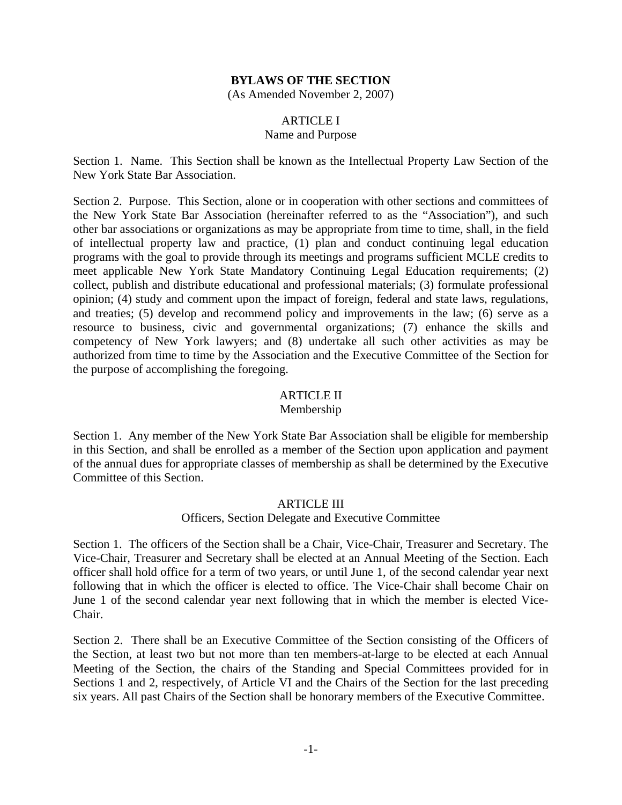### **BYLAWS OF THE SECTION**

(As Amended November 2, 2007)

## ARTICLE I

### Name and Purpose

Section 1. Name. This Section shall be known as the Intellectual Property Law Section of the New York State Bar Association.

Section 2. Purpose. This Section, alone or in cooperation with other sections and committees of the New York State Bar Association (hereinafter referred to as the "Association"), and such other bar associations or organizations as may be appropriate from time to time, shall, in the field of intellectual property law and practice, (1) plan and conduct continuing legal education programs with the goal to provide through its meetings and programs sufficient MCLE credits to meet applicable New York State Mandatory Continuing Legal Education requirements; (2) collect, publish and distribute educational and professional materials; (3) formulate professional opinion; (4) study and comment upon the impact of foreign, federal and state laws, regulations, and treaties; (5) develop and recommend policy and improvements in the law; (6) serve as a resource to business, civic and governmental organizations; (7) enhance the skills and competency of New York lawyers; and (8) undertake all such other activities as may be authorized from time to time by the Association and the Executive Committee of the Section for the purpose of accomplishing the foregoing.

### ARTICLE II

#### Membership

Section 1. Any member of the New York State Bar Association shall be eligible for membership in this Section, and shall be enrolled as a member of the Section upon application and payment of the annual dues for appropriate classes of membership as shall be determined by the Executive Committee of this Section.

#### ARTICLE III

#### Officers, Section Delegate and Executive Committee

Section 1. The officers of the Section shall be a Chair, Vice-Chair, Treasurer and Secretary. The Vice-Chair, Treasurer and Secretary shall be elected at an Annual Meeting of the Section. Each officer shall hold office for a term of two years, or until June 1, of the second calendar year next following that in which the officer is elected to office. The Vice-Chair shall become Chair on June 1 of the second calendar year next following that in which the member is elected Vice-Chair.

Section 2. There shall be an Executive Committee of the Section consisting of the Officers of the Section, at least two but not more than ten members-at-large to be elected at each Annual Meeting of the Section, the chairs of the Standing and Special Committees provided for in Sections 1 and 2, respectively, of Article VI and the Chairs of the Section for the last preceding six years. All past Chairs of the Section shall be honorary members of the Executive Committee.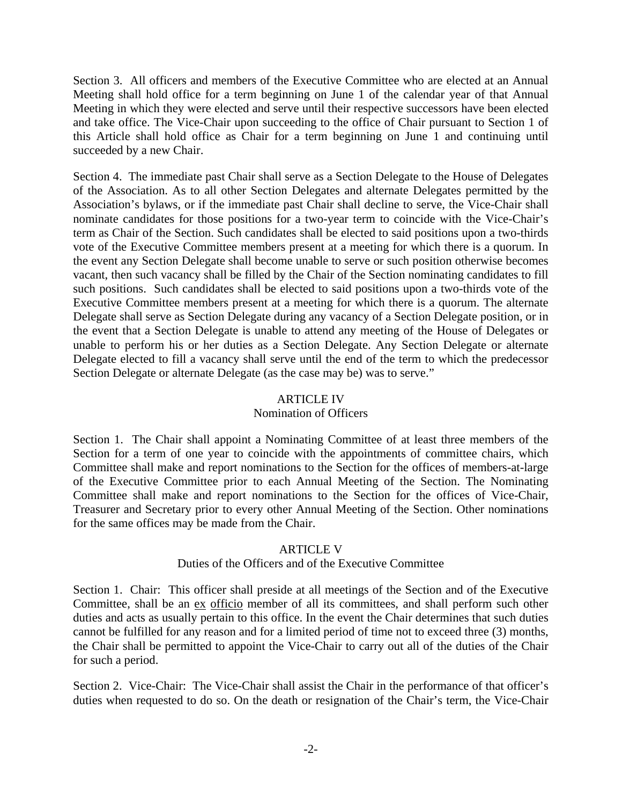Section 3. All officers and members of the Executive Committee who are elected at an Annual Meeting shall hold office for a term beginning on June 1 of the calendar year of that Annual Meeting in which they were elected and serve until their respective successors have been elected and take office. The Vice-Chair upon succeeding to the office of Chair pursuant to Section 1 of this Article shall hold office as Chair for a term beginning on June 1 and continuing until succeeded by a new Chair.

Section 4. The immediate past Chair shall serve as a Section Delegate to the House of Delegates of the Association. As to all other Section Delegates and alternate Delegates permitted by the Association's bylaws, or if the immediate past Chair shall decline to serve, the Vice-Chair shall nominate candidates for those positions for a two-year term to coincide with the Vice-Chair's term as Chair of the Section. Such candidates shall be elected to said positions upon a two-thirds vote of the Executive Committee members present at a meeting for which there is a quorum. In the event any Section Delegate shall become unable to serve or such position otherwise becomes vacant, then such vacancy shall be filled by the Chair of the Section nominating candidates to fill such positions. Such candidates shall be elected to said positions upon a two-thirds vote of the Executive Committee members present at a meeting for which there is a quorum. The alternate Delegate shall serve as Section Delegate during any vacancy of a Section Delegate position, or in the event that a Section Delegate is unable to attend any meeting of the House of Delegates or unable to perform his or her duties as a Section Delegate. Any Section Delegate or alternate Delegate elected to fill a vacancy shall serve until the end of the term to which the predecessor Section Delegate or alternate Delegate (as the case may be) was to serve."

### ARTICLE IV

## Nomination of Officers

Section 1. The Chair shall appoint a Nominating Committee of at least three members of the Section for a term of one year to coincide with the appointments of committee chairs, which Committee shall make and report nominations to the Section for the offices of members-at-large of the Executive Committee prior to each Annual Meeting of the Section. The Nominating Committee shall make and report nominations to the Section for the offices of Vice-Chair, Treasurer and Secretary prior to every other Annual Meeting of the Section. Other nominations for the same offices may be made from the Chair.

## ARTICLE V

## Duties of the Officers and of the Executive Committee

Section 1. Chair: This officer shall preside at all meetings of the Section and of the Executive Committee, shall be an ex officio member of all its committees, and shall perform such other duties and acts as usually pertain to this office. In the event the Chair determines that such duties cannot be fulfilled for any reason and for a limited period of time not to exceed three (3) months, the Chair shall be permitted to appoint the Vice-Chair to carry out all of the duties of the Chair for such a period.

Section 2. Vice-Chair: The Vice-Chair shall assist the Chair in the performance of that officer's duties when requested to do so. On the death or resignation of the Chair's term, the Vice-Chair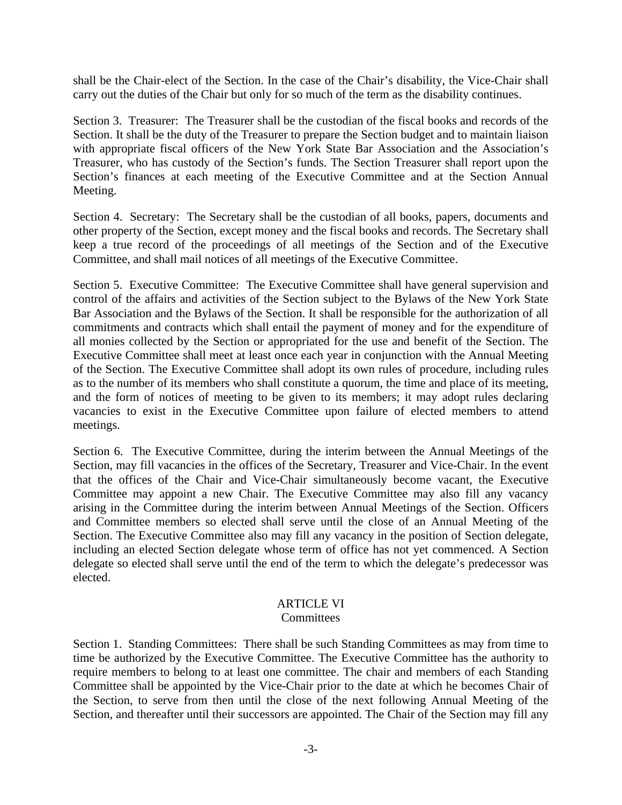shall be the Chair-elect of the Section. In the case of the Chair's disability, the Vice-Chair shall carry out the duties of the Chair but only for so much of the term as the disability continues.

Section 3. Treasurer: The Treasurer shall be the custodian of the fiscal books and records of the Section. It shall be the duty of the Treasurer to prepare the Section budget and to maintain liaison with appropriate fiscal officers of the New York State Bar Association and the Association's Treasurer, who has custody of the Section's funds. The Section Treasurer shall report upon the Section's finances at each meeting of the Executive Committee and at the Section Annual Meeting.

Section 4. Secretary: The Secretary shall be the custodian of all books, papers, documents and other property of the Section, except money and the fiscal books and records. The Secretary shall keep a true record of the proceedings of all meetings of the Section and of the Executive Committee, and shall mail notices of all meetings of the Executive Committee.

Section 5. Executive Committee: The Executive Committee shall have general supervision and control of the affairs and activities of the Section subject to the Bylaws of the New York State Bar Association and the Bylaws of the Section. It shall be responsible for the authorization of all commitments and contracts which shall entail the payment of money and for the expenditure of all monies collected by the Section or appropriated for the use and benefit of the Section. The Executive Committee shall meet at least once each year in conjunction with the Annual Meeting of the Section. The Executive Committee shall adopt its own rules of procedure, including rules as to the number of its members who shall constitute a quorum, the time and place of its meeting, and the form of notices of meeting to be given to its members; it may adopt rules declaring vacancies to exist in the Executive Committee upon failure of elected members to attend meetings.

Section 6. The Executive Committee, during the interim between the Annual Meetings of the Section, may fill vacancies in the offices of the Secretary, Treasurer and Vice-Chair. In the event that the offices of the Chair and Vice-Chair simultaneously become vacant, the Executive Committee may appoint a new Chair. The Executive Committee may also fill any vacancy arising in the Committee during the interim between Annual Meetings of the Section. Officers and Committee members so elected shall serve until the close of an Annual Meeting of the Section. The Executive Committee also may fill any vacancy in the position of Section delegate, including an elected Section delegate whose term of office has not yet commenced. A Section delegate so elected shall serve until the end of the term to which the delegate's predecessor was elected.

# ARTICLE VI

#### **Committees**

Section 1. Standing Committees: There shall be such Standing Committees as may from time to time be authorized by the Executive Committee. The Executive Committee has the authority to require members to belong to at least one committee. The chair and members of each Standing Committee shall be appointed by the Vice-Chair prior to the date at which he becomes Chair of the Section, to serve from then until the close of the next following Annual Meeting of the Section, and thereafter until their successors are appointed. The Chair of the Section may fill any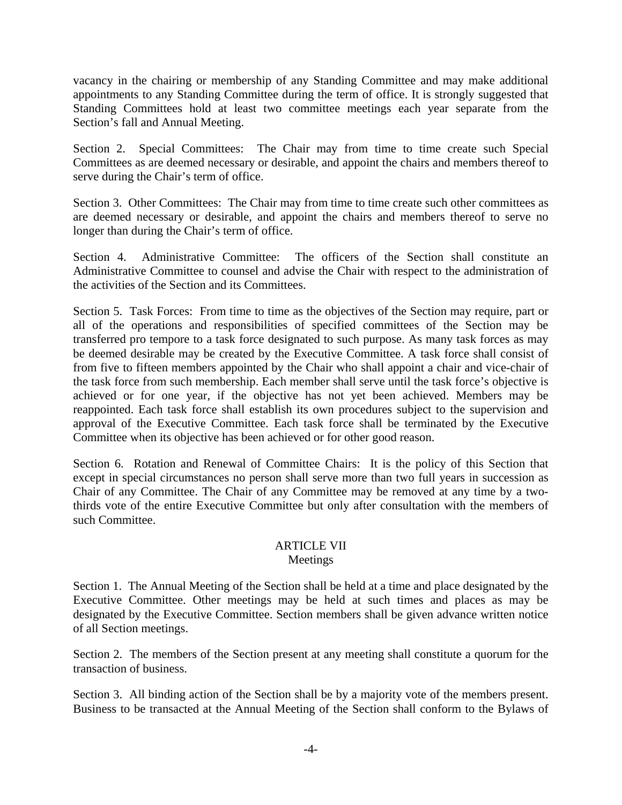vacancy in the chairing or membership of any Standing Committee and may make additional appointments to any Standing Committee during the term of office. It is strongly suggested that Standing Committees hold at least two committee meetings each year separate from the Section's fall and Annual Meeting.

Section 2. Special Committees: The Chair may from time to time create such Special Committees as are deemed necessary or desirable, and appoint the chairs and members thereof to serve during the Chair's term of office.

Section 3. Other Committees: The Chair may from time to time create such other committees as are deemed necessary or desirable, and appoint the chairs and members thereof to serve no longer than during the Chair's term of office.

Section 4. Administrative Committee: The officers of the Section shall constitute an Administrative Committee to counsel and advise the Chair with respect to the administration of the activities of the Section and its Committees.

Section 5. Task Forces: From time to time as the objectives of the Section may require, part or all of the operations and responsibilities of specified committees of the Section may be transferred pro tempore to a task force designated to such purpose. As many task forces as may be deemed desirable may be created by the Executive Committee. A task force shall consist of from five to fifteen members appointed by the Chair who shall appoint a chair and vice-chair of the task force from such membership. Each member shall serve until the task force's objective is achieved or for one year, if the objective has not yet been achieved. Members may be reappointed. Each task force shall establish its own procedures subject to the supervision and approval of the Executive Committee. Each task force shall be terminated by the Executive Committee when its objective has been achieved or for other good reason.

Section 6. Rotation and Renewal of Committee Chairs: It is the policy of this Section that except in special circumstances no person shall serve more than two full years in succession as Chair of any Committee. The Chair of any Committee may be removed at any time by a twothirds vote of the entire Executive Committee but only after consultation with the members of such Committee.

## ARTICLE VII Meetings

Section 1. The Annual Meeting of the Section shall be held at a time and place designated by the Executive Committee. Other meetings may be held at such times and places as may be designated by the Executive Committee. Section members shall be given advance written notice of all Section meetings.

Section 2. The members of the Section present at any meeting shall constitute a quorum for the transaction of business.

Section 3. All binding action of the Section shall be by a majority vote of the members present. Business to be transacted at the Annual Meeting of the Section shall conform to the Bylaws of